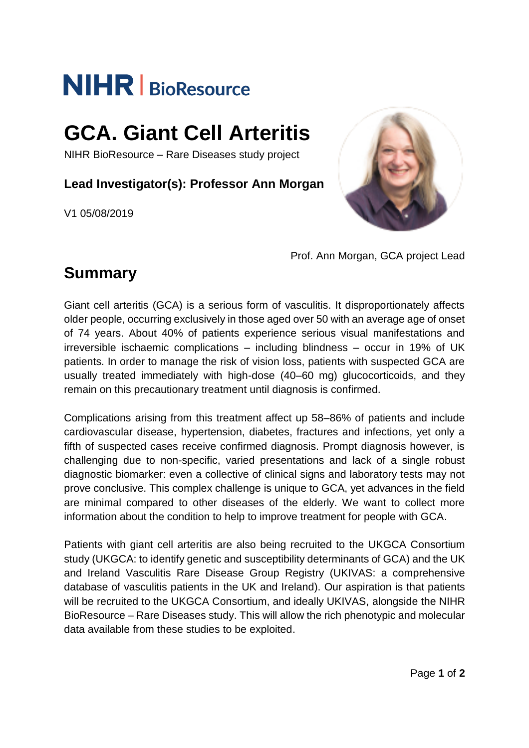# **NIHR** | BioResource

## **GCA. Giant Cell Arteritis**

NIHR BioResource – Rare Diseases study project

**Lead Investigator(s): Professor Ann Morgan**

V1 05/08/2019



Prof. Ann Morgan, GCA project Lead

### **Summary**

Giant cell arteritis (GCA) is a serious form of vasculitis. It disproportionately affects older people, occurring exclusively in those aged over 50 with an average age of onset of 74 years. About 40% of patients experience serious visual manifestations and irreversible ischaemic complications – including blindness – occur in 19% of UK patients. In order to manage the risk of vision loss, patients with suspected GCA are usually treated immediately with high-dose (40–60 mg) glucocorticoids, and they remain on this precautionary treatment until diagnosis is confirmed.

Complications arising from this treatment affect up 58–86% of patients and include cardiovascular disease, hypertension, diabetes, fractures and infections, yet only a fifth of suspected cases receive confirmed diagnosis. Prompt diagnosis however, is challenging due to non-specific, varied presentations and lack of a single robust diagnostic biomarker: even a collective of clinical signs and laboratory tests may not prove conclusive. This complex challenge is unique to GCA, yet advances in the field are minimal compared to other diseases of the elderly. We want to collect more information about the condition to help to improve treatment for people with GCA.

Patients with giant cell arteritis are also being recruited to the UKGCA Consortium study (UKGCA: to identify genetic and susceptibility determinants of GCA) and the UK and Ireland Vasculitis Rare Disease Group Registry (UKIVAS: a comprehensive database of vasculitis patients in the UK and Ireland). Our aspiration is that patients will be recruited to the UKGCA Consortium, and ideally UKIVAS, alongside the NIHR BioResource – Rare Diseases study. This will allow the rich phenotypic and molecular data available from these studies to be exploited.